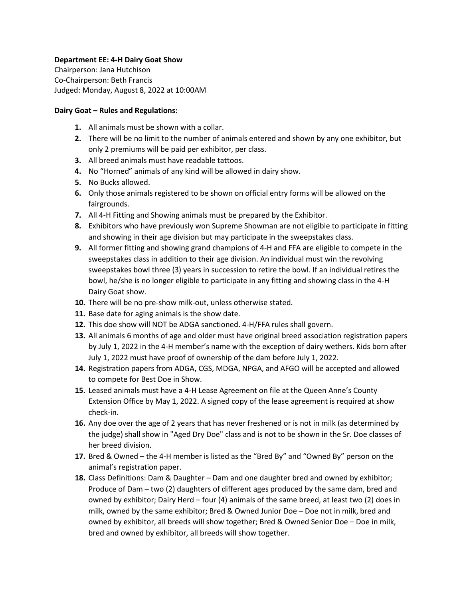### **Department EE: 4-H Dairy Goat Show**

Chairperson: Jana Hutchison Co-Chairperson: Beth Francis Judged: Monday, August 8, 2022 at 10:00AM

#### **Dairy Goat – Rules and Regulations:**

- **1.** All animals must be shown with a collar.
- **2.** There will be no limit to the number of animals entered and shown by any one exhibitor, but only 2 premiums will be paid per exhibitor, per class.
- **3.** All breed animals must have readable tattoos.
- **4.** No "Horned" animals of any kind will be allowed in dairy show.
- **5.** No Bucks allowed.
- **6.** Only those animals registered to be shown on official entry forms will be allowed on the fairgrounds.
- **7.** All 4-H Fitting and Showing animals must be prepared by the Exhibitor.
- **8.** Exhibitors who have previously won Supreme Showman are not eligible to participate in fitting and showing in their age division but may participate in the sweepstakes class.
- **9.** All former fitting and showing grand champions of 4-H and FFA are eligible to compete in the sweepstakes class in addition to their age division. An individual must win the revolving sweepstakes bowl three (3) years in succession to retire the bowl. If an individual retires the bowl, he/she is no longer eligible to participate in any fitting and showing class in the 4-H Dairy Goat show.
- **10.** There will be no pre-show milk-out, unless otherwise stated.
- **11.** Base date for aging animals is the show date.
- **12.** This doe show will NOT be ADGA sanctioned. 4-H/FFA rules shall govern.
- **13.** All animals 6 months of age and older must have original breed association registration papers by July 1, 2022 in the 4-H member's name with the exception of dairy wethers. Kids born after July 1, 2022 must have proof of ownership of the dam before July 1, 2022.
- **14.** Registration papers from ADGA, CGS, MDGA, NPGA, and AFGO will be accepted and allowed to compete for Best Doe in Show.
- **15.** Leased animals must have a 4-H Lease Agreement on file at the Queen Anne's County Extension Office by May 1, 2022. A signed copy of the lease agreement is required at show check-in.
- **16.** Any doe over the age of 2 years that has never freshened or is not in milk (as determined by the judge) shall show in "Aged Dry Doe" class and is not to be shown in the Sr. Doe classes of her breed division.
- **17.** Bred & Owned the 4-H member is listed as the "Bred By" and "Owned By" person on the animal's registration paper.
- **18.** Class Definitions: Dam & Daughter Dam and one daughter bred and owned by exhibitor; Produce of Dam – two (2) daughters of different ages produced by the same dam, bred and owned by exhibitor; Dairy Herd – four (4) animals of the same breed, at least two (2) does in milk, owned by the same exhibitor; Bred & Owned Junior Doe – Doe not in milk, bred and owned by exhibitor, all breeds will show together; Bred & Owned Senior Doe – Doe in milk, bred and owned by exhibitor, all breeds will show together.